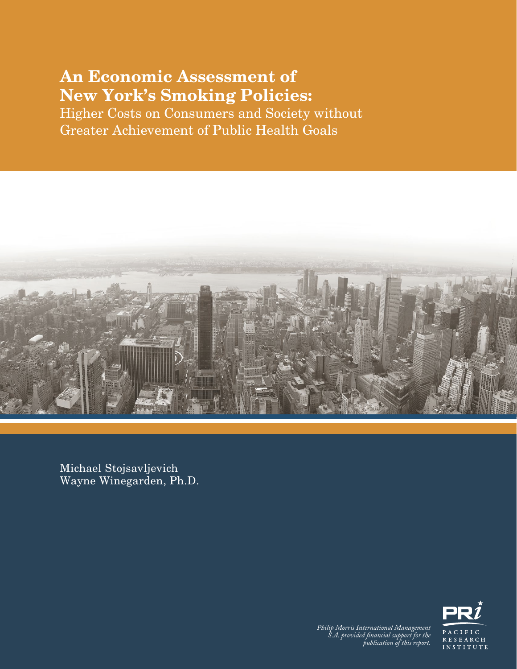### An Economic Assessment of New York's Smoking Policies:

Higher Costs on Consumers and Society without Greater Achievement of Public Health Goals



Michael Stojsavljevich Wayne Winegarden, Ph.D.



An Economic Assessment of New York's Smoking Policies *Philip Morris International Management S.A. provided financial support for the publication of this report.*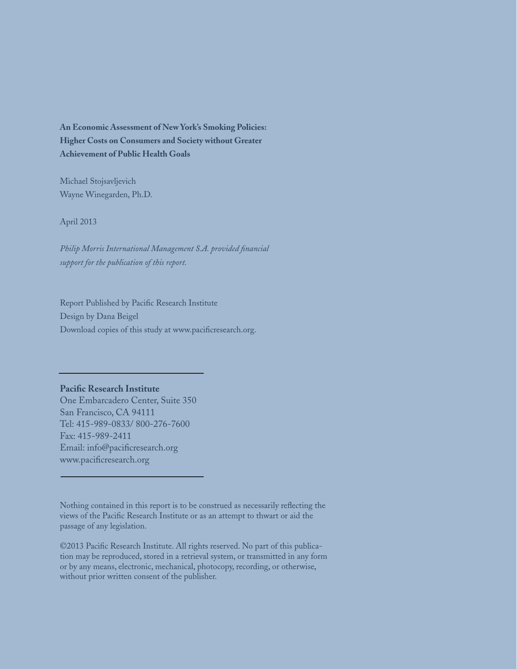**An Economic Assessment of New York's Smoking Policies: Higher Costs on Consumers and Society without Greater Achievement of Public Health Goals**

Michael Stojsavljevich Wayne Winegarden, Ph.D.

April 2013

*Philip Morris International Management S.A. provided financial support for the publication of this report.*

Report Published by Pacific Research Institute Design by Dana Beigel Download copies of this study at www.pacificresearch.org.

#### **Pacific Research Institute**

One Embarcadero Center, Suite 350 San Francisco, CA 94111 Tel: 415-989-0833/ 800-276-7600 Fax: 415-989-2411 Email: info@pacificresearch.org www.pacificresearch.org

Nothing contained in this report is to be construed as necessarily reflecting the views of the Pacific Research Institute or as an attempt to thwart or aid the passage of any legislation.

©2013 Pacific Research Institute. All rights reserved. No part of this publication may be reproduced, stored in a retrieval system, or transmitted in any form or by any means, electronic, mechanical, photocopy, recording, or otherwise, without prior written consent of the publisher.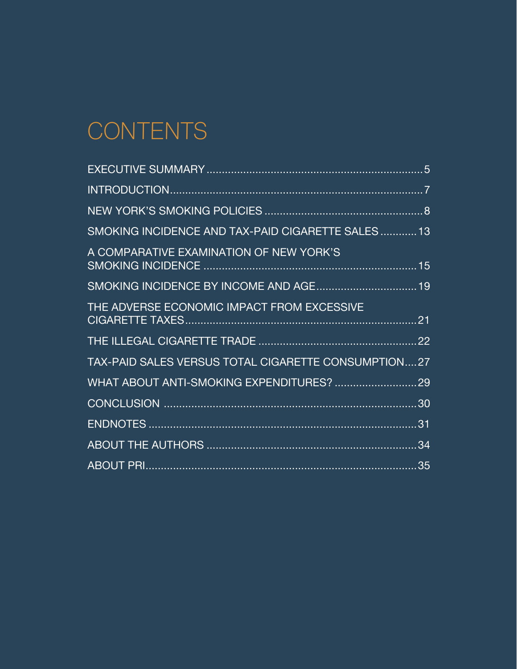# **CONTENTS**

| SMOKING INCIDENCE AND TAX-PAID CIGARETTE SALES13    |  |
|-----------------------------------------------------|--|
| A COMPARATIVE EXAMINATION OF NEW YORK'S             |  |
| SMOKING INCIDENCE BY INCOME AND AGE 19              |  |
| THE ADVERSE ECONOMIC IMPACT FROM EXCESSIVE          |  |
|                                                     |  |
| TAX-PAID SALES VERSUS TOTAL CIGARETTE CONSUMPTION27 |  |
|                                                     |  |
|                                                     |  |
|                                                     |  |
|                                                     |  |
|                                                     |  |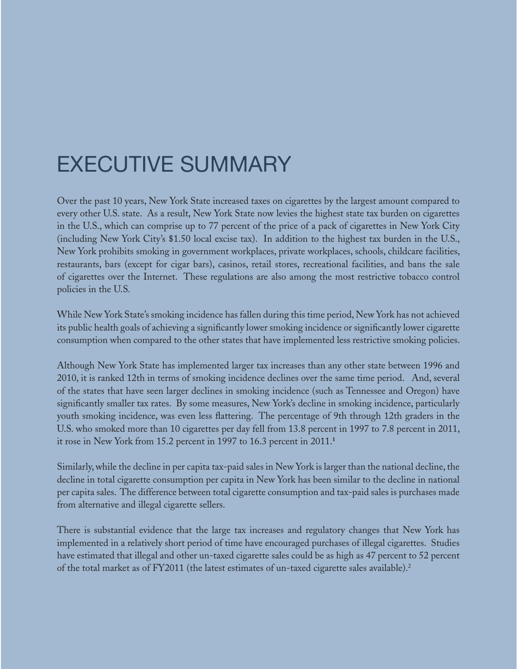## EXECUTIVE SUMMARY

Over the past 10 years, New York State increased taxes on cigarettes by the largest amount compared to every other U.S. state. As a result, New York State now levies the highest state tax burden on cigarettes in the U.S., which can comprise up to 77 percent of the price of a pack of cigarettes in New York City (including New York City's \$1.50 local excise tax). In addition to the highest tax burden in the U.S., New York prohibits smoking in government workplaces, private workplaces, schools, childcare facilities, restaurants, bars (except for cigar bars), casinos, retail stores, recreational facilities, and bans the sale of cigarettes over the Internet. These regulations are also among the most restrictive tobacco control policies in the U.S.

While New York State's smoking incidence has fallen during this time period, New York has not achieved its public health goals of achieving a significantly lower smoking incidence or significantly lower cigarette consumption when compared to the other states that have implemented less restrictive smoking policies.

Although New York State has implemented larger tax increases than any other state between 1996 and 2010, it is ranked 12th in terms of smoking incidence declines over the same time period. And, several of the states that have seen larger declines in smoking incidence (such as Tennessee and Oregon) have significantly smaller tax rates. By some measures, New York's decline in smoking incidence, particularly youth smoking incidence, was even less flattering. The percentage of 9th through 12th graders in the U.S. who smoked more than 10 cigarettes per day fell from 13.8 percent in 1997 to 7.8 percent in 2011, it rose in New York from 15.2 percent in 1997 to 16.3 percent in 2011.**<sup>1</sup>**

Similarly, while the decline in per capita tax-paid sales in New York is larger than the national decline, the decline in total cigarette consumption per capita in New York has been similar to the decline in national per capita sales. The difference between total cigarette consumption and tax-paid sales is purchases made from alternative and illegal cigarette sellers.

There is substantial evidence that the large tax increases and regulatory changes that New York has implemented in a relatively short period of time have encouraged purchases of illegal cigarettes. Studies have estimated that illegal and other un-taxed cigarette sales could be as high as 47 percent to 52 percent of the total market as of FY2011 (the latest estimates of un-taxed cigarette sales available).<sup>2</sup>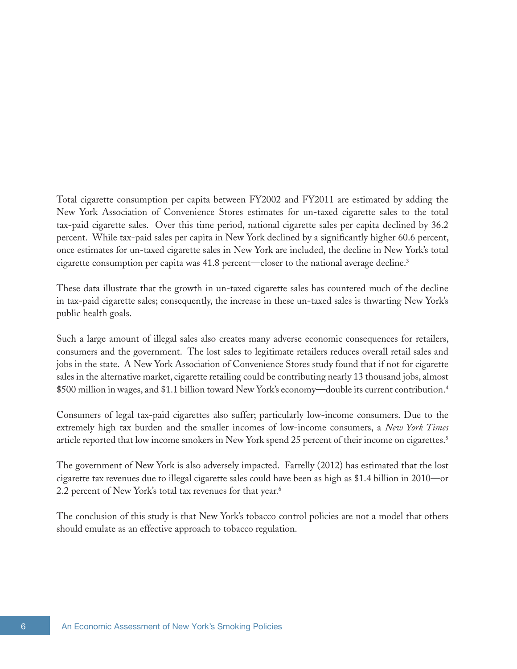Total cigarette consumption per capita between FY2002 and FY2011 are estimated by adding the New York Association of Convenience Stores estimates for un-taxed cigarette sales to the total tax-paid cigarette sales. Over this time period, national cigarette sales per capita declined by 36.2 percent. While tax-paid sales per capita in New York declined by a significantly higher 60.6 percent, once estimates for un-taxed cigarette sales in New York are included, the decline in New York's total cigarette consumption per capita was 41.8 percent—closer to the national average decline.<sup>3</sup>

These data illustrate that the growth in un-taxed cigarette sales has countered much of the decline in tax-paid cigarette sales; consequently, the increase in these un-taxed sales is thwarting New York's public health goals.

Such a large amount of illegal sales also creates many adverse economic consequences for retailers, consumers and the government. The lost sales to legitimate retailers reduces overall retail sales and jobs in the state. A New York Association of Convenience Stores study found that if not for cigarette sales in the alternative market, cigarette retailing could be contributing nearly 13 thousand jobs, almost \$500 million in wages, and \$1.1 billion toward New York's economy—double its current contribution.4

Consumers of legal tax-paid cigarettes also suffer; particularly low-income consumers. Due to the extremely high tax burden and the smaller incomes of low-income consumers, a *New York Times*  article reported that low income smokers in New York spend 25 percent of their income on cigarettes.<sup>5</sup>

The government of New York is also adversely impacted. Farrelly (2012) has estimated that the lost cigarette tax revenues due to illegal cigarette sales could have been as high as \$1.4 billion in 2010—or 2.2 percent of New York's total tax revenues for that year.<sup>6</sup>

The conclusion of this study is that New York's tobacco control policies are not a model that others should emulate as an effective approach to tobacco regulation.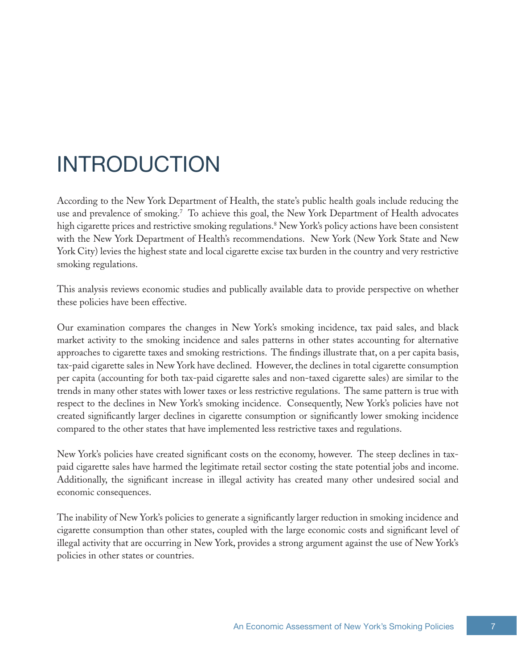## INTRODUCTION

According to the New York Department of Health, the state's public health goals include reducing the use and prevalence of smoking.7 To achieve this goal, the New York Department of Health advocates high cigarette prices and restrictive smoking regulations.8 New York's policy actions have been consistent with the New York Department of Health's recommendations. New York (New York State and New York City) levies the highest state and local cigarette excise tax burden in the country and very restrictive smoking regulations.

This analysis reviews economic studies and publically available data to provide perspective on whether these policies have been effective.

Our examination compares the changes in New York's smoking incidence, tax paid sales, and black market activity to the smoking incidence and sales patterns in other states accounting for alternative approaches to cigarette taxes and smoking restrictions. The findings illustrate that, on a per capita basis, tax-paid cigarette sales in New York have declined. However, the declines in total cigarette consumption per capita (accounting for both tax-paid cigarette sales and non-taxed cigarette sales) are similar to the trends in many other states with lower taxes or less restrictive regulations. The same pattern is true with respect to the declines in New York's smoking incidence. Consequently, New York's policies have not created significantly larger declines in cigarette consumption or significantly lower smoking incidence compared to the other states that have implemented less restrictive taxes and regulations.

New York's policies have created significant costs on the economy, however. The steep declines in taxpaid cigarette sales have harmed the legitimate retail sector costing the state potential jobs and income. Additionally, the significant increase in illegal activity has created many other undesired social and economic consequences.

The inability of New York's policies to generate a significantly larger reduction in smoking incidence and cigarette consumption than other states, coupled with the large economic costs and significant level of illegal activity that are occurring in New York, provides a strong argument against the use of New York's policies in other states or countries.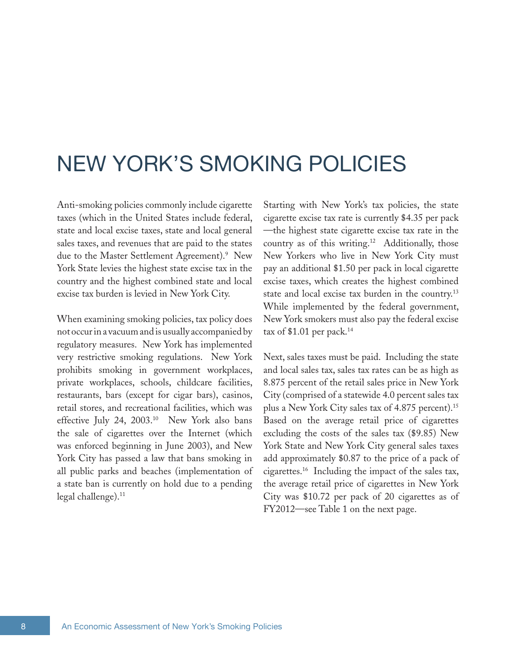## NEW YORK'S SMOKING POLICIES

Anti-smoking policies commonly include cigarette taxes (which in the United States include federal, state and local excise taxes, state and local general sales taxes, and revenues that are paid to the states due to the Master Settlement Agreement).<sup>9</sup> New York State levies the highest state excise tax in the country and the highest combined state and local excise tax burden is levied in New York City.

When examining smoking policies, tax policy does not occur in a vacuum and is usually accompanied by regulatory measures. New York has implemented very restrictive smoking regulations. New York prohibits smoking in government workplaces, private workplaces, schools, childcare facilities, restaurants, bars (except for cigar bars), casinos, retail stores, and recreational facilities, which was effective July 24, 2003.<sup>10</sup> New York also bans the sale of cigarettes over the Internet (which was enforced beginning in June 2003), and New York City has passed a law that bans smoking in all public parks and beaches (implementation of a state ban is currently on hold due to a pending legal challenge).<sup>11</sup>

Starting with New York's tax policies, the state cigarette excise tax rate is currently \$4.35 per pack —the highest state cigarette excise tax rate in the country as of this writing.<sup>12</sup> Additionally, those New Yorkers who live in New York City must pay an additional \$1.50 per pack in local cigarette excise taxes, which creates the highest combined state and local excise tax burden in the country.<sup>13</sup> While implemented by the federal government, New York smokers must also pay the federal excise tax of \$1.01 per pack.<sup>14</sup>

Next, sales taxes must be paid. Including the state and local sales tax, sales tax rates can be as high as 8.875 percent of the retail sales price in New York City (comprised of a statewide 4.0 percent sales tax plus a New York City sales tax of 4.875 percent).<sup>15</sup> Based on the average retail price of cigarettes excluding the costs of the sales tax (\$9.85) New York State and New York City general sales taxes add approximately \$0.87 to the price of a pack of cigarettes.16 Including the impact of the sales tax, the average retail price of cigarettes in New York City was \$10.72 per pack of 20 cigarettes as of FY2012—see Table 1 on the next page.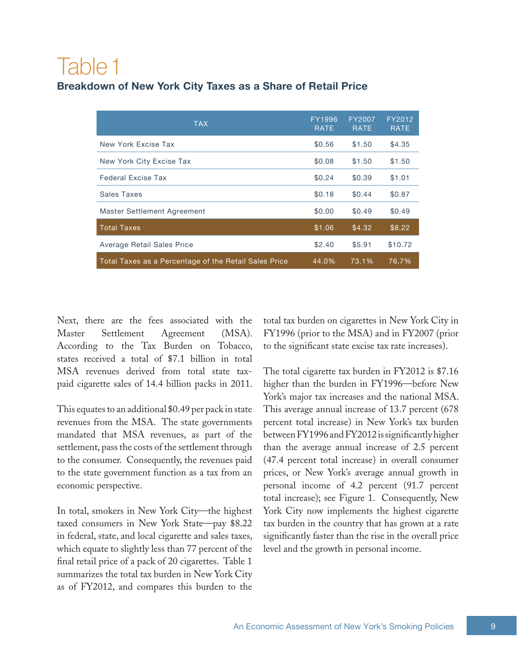## Table 1

### **Breakdown of New York City Taxes as a Share of Retail Price**

| <b>TAX</b>                                            | FY1996<br><b>RATE</b> | FY2007<br><b>RATE</b> | FY2012<br><b>RATE</b> |
|-------------------------------------------------------|-----------------------|-----------------------|-----------------------|
| New York Excise Tax                                   | \$0.56                | \$1.50                | \$4.35                |
| New York City Excise Tax                              | \$0.08                | \$1.50                | \$1.50                |
| <b>Federal Excise Tax</b>                             | \$0.24                | \$0.39                | \$1.01                |
| Sales Taxes                                           | \$0.18                | \$0.44                | \$0.87                |
| <b>Master Settlement Agreement</b>                    | \$0.00                | \$0.49                | \$0.49                |
| <b>Total Taxes</b>                                    | \$1.06                | \$4.32                | \$8.22                |
| Average Retail Sales Price                            | \$2.40                | \$5.91                | \$10.72               |
| Total Taxes as a Percentage of the Retail Sales Price | 44.0%                 | 73.1%                 | 76.7%                 |

Next, there are the fees associated with the Master Settlement Agreement (MSA). According to the Tax Burden on Tobacco, states received a total of \$7.1 billion in total MSA revenues derived from total state taxpaid cigarette sales of 14.4 billion packs in 2011.

This equates to an additional \$0.49 per pack in state revenues from the MSA. The state governments mandated that MSA revenues, as part of the settlement, pass the costs of the settlement through to the consumer. Consequently, the revenues paid to the state government function as a tax from an economic perspective.

In total, smokers in New York City—the highest taxed consumers in New York State—pay \$8.22 in federal, state, and local cigarette and sales taxes, which equate to slightly less than 77 percent of the final retail price of a pack of 20 cigarettes. Table 1 summarizes the total tax burden in New York City as of FY2012, and compares this burden to the

total tax burden on cigarettes in New York City in FY1996 (prior to the MSA) and in FY2007 (prior to the significant state excise tax rate increases).

The total cigarette tax burden in FY2012 is \$7.16 higher than the burden in FY1996—before New York's major tax increases and the national MSA. This average annual increase of 13.7 percent (678 percent total increase) in New York's tax burden between FY1996 and FY2012 is significantly higher than the average annual increase of 2.5 percent (47.4 percent total increase) in overall consumer prices, or New York's average annual growth in personal income of 4.2 percent (91.7 percent total increase); see Figure 1. Consequently, New York City now implements the highest cigarette tax burden in the country that has grown at a rate significantly faster than the rise in the overall price level and the growth in personal income.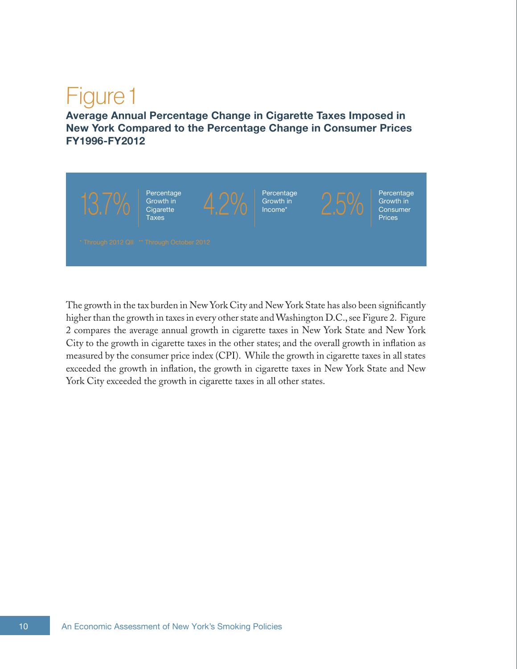# Figure 1

**Average Annual Percentage Change in Cigarette Taxes Imposed in New York Compared to the Percentage Change in Consumer Prices FY1996-FY2012**



The growth in the tax burden in New York City and New York State has also been significantly higher than the growth in taxes in every other state and Washington D.C., see Figure 2. Figure 2 compares the average annual growth in cigarette taxes in New York State and New York City to the growth in cigarette taxes in the other states; and the overall growth in inflation as measured by the consumer price index (CPI). While the growth in cigarette taxes in all states exceeded the growth in inflation, the growth in cigarette taxes in New York State and New York City exceeded the growth in cigarette taxes in all other states.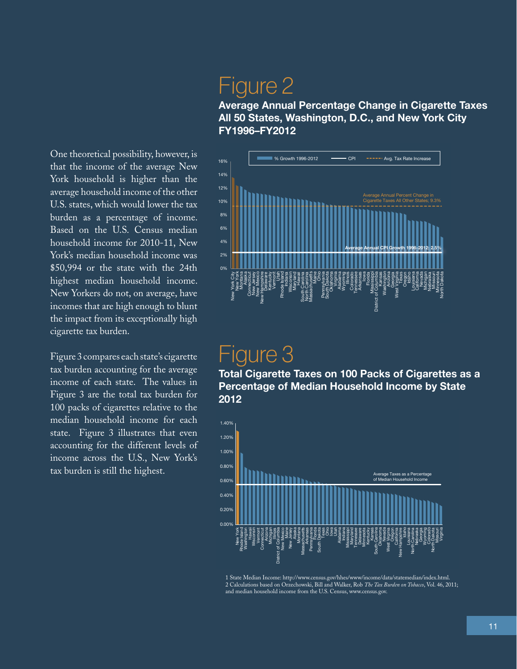New Yorkers do not, on average, have<br>incomes that are high enough to blunt<br>the impact from its exceptionally high  $\frac{7}{6}$ k<br>:1 e<br>'' ld<br>.. n<br>S t,<br>.1 n<br>Da a<sup>r</sup> Based on the U.S. Census median household income for 2010-11, New One theoretical possibility, however, is that the income of the average New York household is higher than the average household income of the other U.S. states, which would lower the tax burden as a percentage of income. York's median household income was \$50,994 or the state with the 24th highest median household income. incomes that are high enough to blunt the impact from its exceptionally high cigarette tax burden.

Figure 3 compares each state's cigarette tax burden accounting for the average income of each state. The values in Figure 3 are the total tax burden for 100 packs of cigarettes relative to the median household income for each state. Figure 3 illustrates that even accounting for the different levels of income across the U.S., New York's tax burden is still the highest.

## Figure 2

**Average Annual Percentage Change in Cigarette Taxes All 50 States, Washington, D.C., and New York City FY1996–FY2012**



## Figure 3

**Total Cigarette Taxes on 100 Packs of Cigarettes as a Percentage of Median Household Income by State 2012**



1 State Median Income: [http://www.census.gov/hhes/www/income/data/statemedian/index.html.](http://www.census.gov/hhes/www/income/data/statemedian/index.html) 2 Calculations based on Orzechowski, Bill and Walker, Rob *The Tax Burden on Tobacco*, Vol. 46, 2011; and median household income from the U.S. Census, [www.census.gov](http://www.census.gov).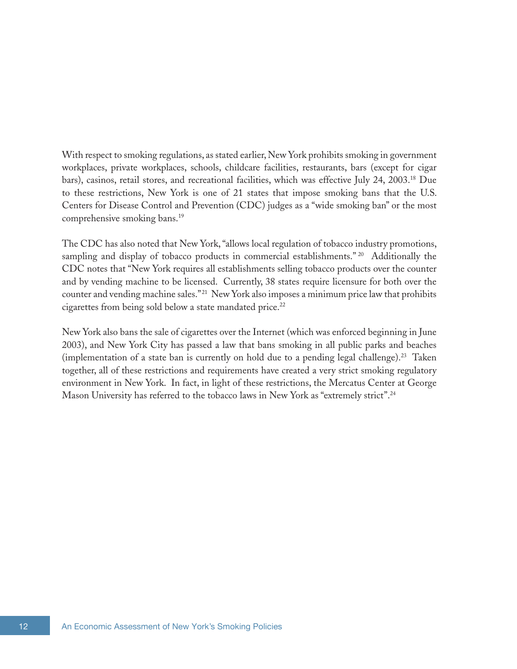With respect to smoking regulations, as stated earlier, New York prohibits smoking in government workplaces, private workplaces, schools, childcare facilities, restaurants, bars (except for cigar bars), casinos, retail stores, and recreational facilities, which was effective July 24, 2003.18 Due to these restrictions, New York is one of 21 states that impose smoking bans that the U.S. Centers for Disease Control and Prevention (CDC) judges as a "wide smoking ban" or the most comprehensive smoking bans.19

The CDC has also noted that New York, "allows local regulation of tobacco industry promotions, sampling and display of tobacco products in commercial establishments."<sup>20</sup> Additionally the CDC notes that "New York requires all establishments selling tobacco products over the counter and by vending machine to be licensed. Currently, 38 states require licensure for both over the counter and vending machine sales."<sup>21</sup> New York also imposes a minimum price law that prohibits cigarettes from being sold below a state mandated price.<sup>22</sup>

New York also bans the sale of cigarettes over the Internet (which was enforced beginning in June 2003), and New York City has passed a law that bans smoking in all public parks and beaches (implementation of a state ban is currently on hold due to a pending legal challenge).<sup>23</sup> Taken together, all of these restrictions and requirements have created a very strict smoking regulatory environment in New York. In fact, in light of these restrictions, the Mercatus Center at George Mason University has referred to the tobacco laws in New York as "extremely strict".24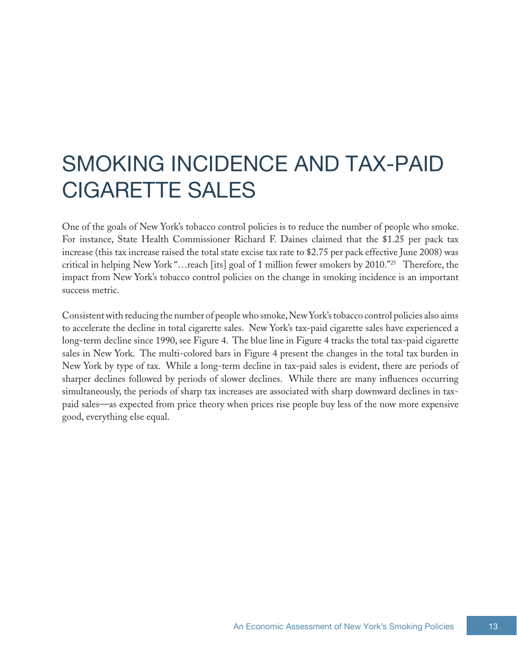## SMOKING INCIDENCE AND TAX-PAID CIGARETTE SALES

One of the goals of New York's tobacco control policies is to reduce the number of people who smoke. For instance, State Health Commissioner Richard F. Daines claimed that the \$1.25 per pack tax increase (this tax increase raised the total state excise tax rate to \$2.75 per pack effective June 2008) was critical in helping New York "…reach [its] goal of 1 million fewer smokers by 2010."<sup>25</sup> Therefore, the impact from New York's tobacco control policies on the change in smoking incidence is an important success metric.

Consistent with reducing the number of people who smoke, New York's tobacco control policies also aims to accelerate the decline in total cigarette sales. New York's tax-paid cigarette sales have experienced a long-term decline since 1990, see Figure 4. The blue line in Figure 4 tracks the total tax-paid cigarette sales in New York. The multi-colored bars in Figure 4 present the changes in the total tax burden in New York by type of tax. While a long-term decline in tax-paid sales is evident, there are periods of sharper declines followed by periods of slower declines. While there are many influences occurring simultaneously, the periods of sharp tax increases are associated with sharp downward declines in taxpaid sales—as expected from price theory when prices rise people buy less of the now more expensive good, everything else equal.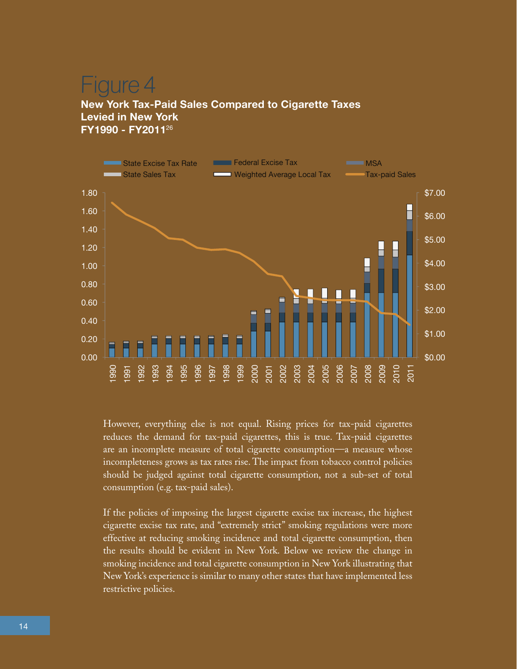## aure 4

#### **New York Tax-Paid Sales Compared to Cigarette Taxes Levied in New York FY1990 - FY2011**<sup>26</sup>



However, everything else is not equal. Rising prices for tax-paid cigarettes reduces the demand for tax-paid cigarettes, this is true. Tax-paid cigarettes are an incomplete measure of total cigarette consumption—a measure whose incompleteness grows as tax rates rise. The impact from tobacco control policies should be judged against total cigarette consumption, not a sub-set of total consumption (e.g. tax-paid sales).

If the policies of imposing the largest cigarette excise tax increase, the highest cigarette excise tax rate, and "extremely strict" smoking regulations were more effective at reducing smoking incidence and total cigarette consumption, then the results should be evident in New York. Below we review the change in smoking incidence and total cigarette consumption in New York illustrating that New York's experience is similar to many other states that have implemented less restrictive policies.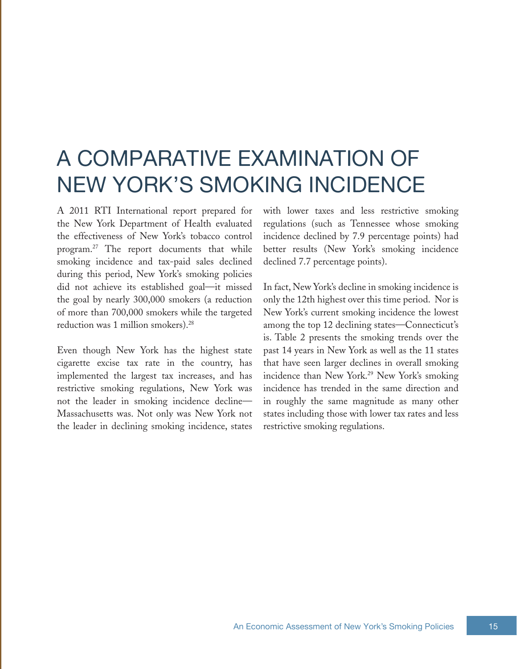## A COMPARATIVE EXAMINATION OF NEW YORK'S SMOKING INCIDENCE

A 2011 RTI International report prepared for the New York Department of Health evaluated the effectiveness of New York's tobacco control program.27 The report documents that while smoking incidence and tax-paid sales declined during this period, New York's smoking policies did not achieve its established goal—it missed the goal by nearly 300,000 smokers (a reduction of more than 700,000 smokers while the targeted reduction was 1 million smokers).<sup>28</sup>

Even though New York has the highest state cigarette excise tax rate in the country, has implemented the largest tax increases, and has restrictive smoking regulations, New York was not the leader in smoking incidence decline— Massachusetts was. Not only was New York not the leader in declining smoking incidence, states

with lower taxes and less restrictive smoking regulations (such as Tennessee whose smoking incidence declined by 7.9 percentage points) had better results (New York's smoking incidence declined 7.7 percentage points).

In fact, New York's decline in smoking incidence is only the 12th highest over this time period. Nor is New York's current smoking incidence the lowest among the top 12 declining states—Connecticut's is. Table 2 presents the smoking trends over the past 14 years in New York as well as the 11 states that have seen larger declines in overall smoking incidence than New York.<sup>29</sup> New York's smoking incidence has trended in the same direction and in roughly the same magnitude as many other states including those with lower tax rates and less restrictive smoking regulations.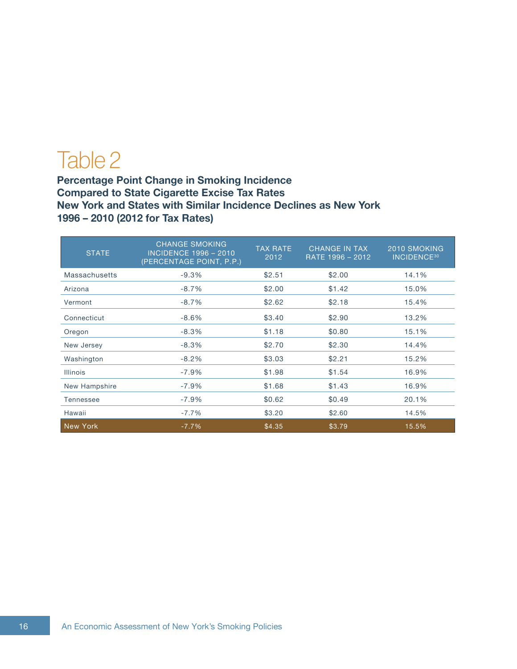## Table 2

**Percentage Point Change in Smoking Incidence Compared to State Cigarette Excise Tax Rates New York and States with Similar Incidence Declines as New York 1996 – 2010 (2012 for Tax Rates)**

| <b>STATE</b>    | <b>CHANGE SMOKING</b><br><b>INCIDENCE 1996 - 2010</b><br>(PERCENTAGE POINT, P.P.) | <b>TAX RATE</b><br>2012 | <b>CHANGE IN TAX</b><br>RATE 1996 - 2012 | 2010 SMOKING<br><b>INCIDENCE<sup>30</sup></b> |
|-----------------|-----------------------------------------------------------------------------------|-------------------------|------------------------------------------|-----------------------------------------------|
| Massachusetts   | $-9.3%$                                                                           | \$2.51                  | \$2.00                                   | 14.1%                                         |
| Arizona         | $-8.7%$                                                                           | \$2.00                  | \$1.42                                   | 15.0%                                         |
| Vermont         | $-8.7%$                                                                           | \$2.62                  | \$2.18                                   | 15.4%                                         |
| Connecticut     | $-8.6%$                                                                           | \$3.40                  | \$2.90                                   | 13.2%                                         |
| Oregon          | $-8.3%$                                                                           | \$1.18                  | \$0.80                                   | 15.1%                                         |
| New Jersey      | $-8.3%$                                                                           | \$2.70                  | \$2.30                                   | 14.4%                                         |
| Washington      | $-8.2%$                                                                           | \$3.03                  | \$2.21                                   | 15.2%                                         |
| <b>Illinois</b> | $-7.9%$                                                                           | \$1.98                  | \$1.54                                   | 16.9%                                         |
| New Hampshire   | $-7.9%$                                                                           | \$1.68                  | \$1.43                                   | 16.9%                                         |
| Tennessee       | $-7.9%$                                                                           | \$0.62                  | \$0.49                                   | 20.1%                                         |
| Hawaii          | $-7.7%$                                                                           | \$3.20                  | \$2.60                                   | 14.5%                                         |
| New York        | $-7.7%$                                                                           | \$4.35                  | \$3.79                                   | 15.5%                                         |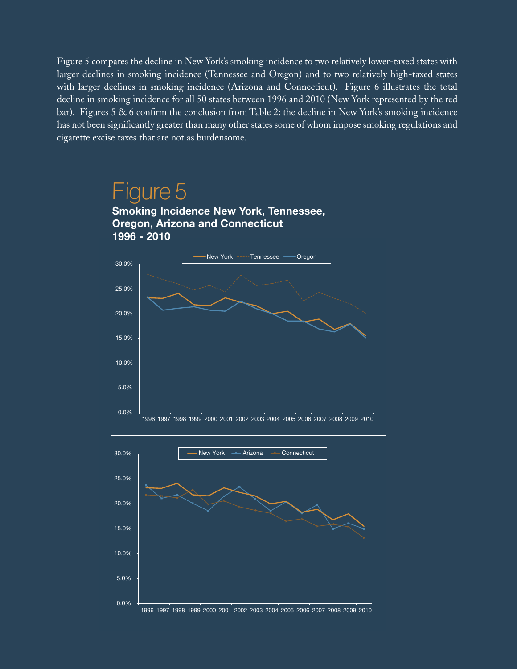Figure 5 compares the decline in New York's smoking incidence to two relatively lower-taxed states with larger declines in smoking incidence (Tennessee and Oregon) and to two relatively high-taxed states with larger declines in smoking incidence (Arizona and Connecticut). Figure 6 illustrates the total decline in smoking incidence for all 50 states between 1996 and 2010 (New York represented by the red bar). Figures 5 & 6 confirm the conclusion from Table 2: the decline in New York's smoking incidence has not been significantly greater than many other states some of whom impose smoking regulations and cigarette excise taxes that are not as burdensome.

### Figure 5

**Smoking Incidence New York, Tennessee, Oregon, Arizona and Connecticut 1996 - 2010**



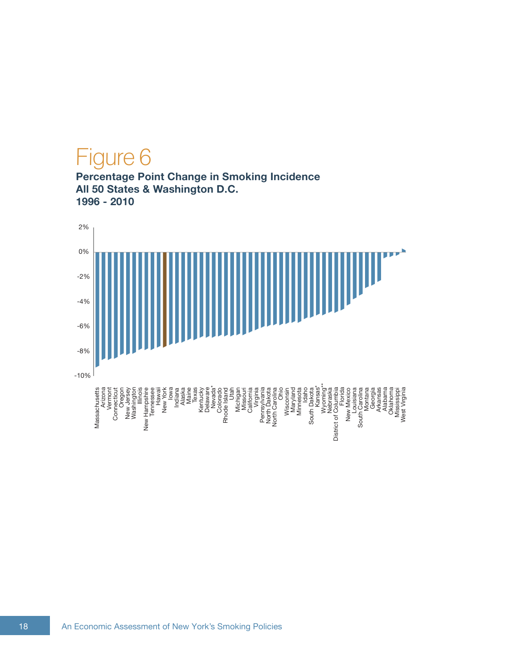# Figure 6

**Percentage Point Change in Smoking Incidence All 50 States & Washington D.C. 1996 - 2010**

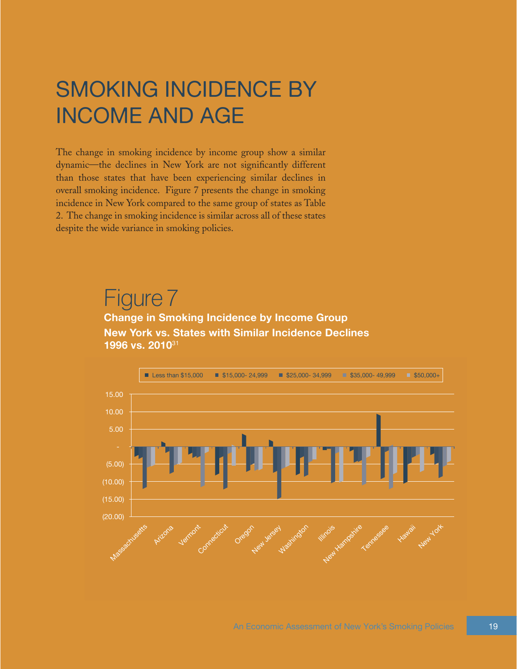## SMOKING INCIDENCE BY INCOME AND AGE

The change in smoking incidence by income group show a similar dynamic—the declines in New York are not significantly different than those states that have been experiencing similar declines in overall smoking incidence. Figure 7 presents the change in smoking incidence in New York compared to the same group of states as Table 2. The change in smoking incidence is similar across all of these states despite the wide variance in smoking policies.

## Figure 7

**Change in Smoking Incidence by Income Group New York vs. States with Similar Incidence Declines 1996 vs. 2010**31

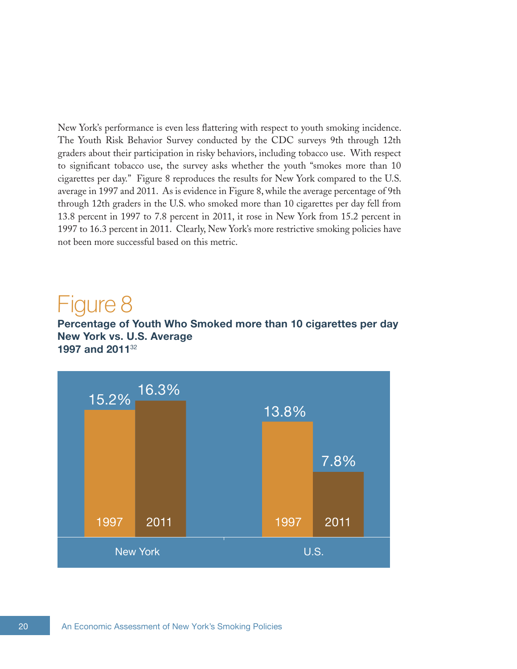New York's performance is even less flattering with respect to youth smoking incidence. The Youth Risk Behavior Survey conducted by the CDC surveys 9th through 12th graders about their participation in risky behaviors, including tobacco use. With respect to significant tobacco use, the survey asks whether the youth "smokes more than 10 cigarettes per day." Figure 8 reproduces the results for New York compared to the U.S. average in 1997 and 2011. As is evidence in Figure 8, while the average percentage of 9th through 12th graders in the U.S. who smoked more than 10 cigarettes per day fell from 13.8 percent in 1997 to 7.8 percent in 2011, it rose in New York from 15.2 percent in 1997 to 16.3 percent in 2011. Clearly, New York's more restrictive smoking policies have not been more successful based on this metric.

### Figure 8

**Percentage of Youth Who Smoked more than 10 cigarettes per day New York vs. U.S. Average 1997 and 2011**32

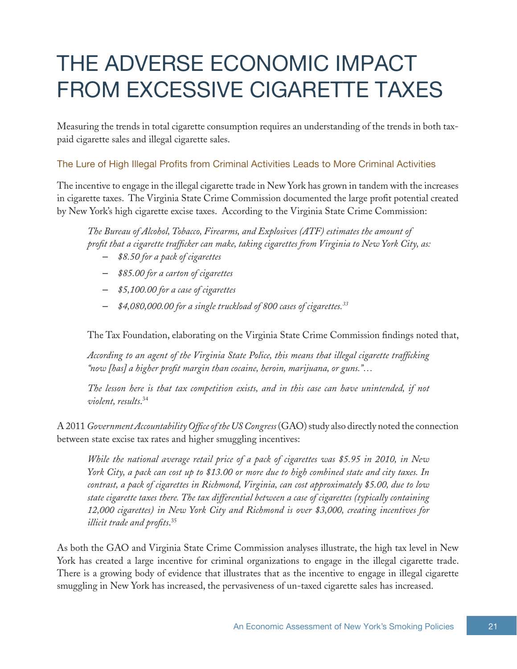# THE ADVERSE ECONOMIC IMPACT FROM EXCESSIVE CIGARETTE TAXES

Measuring the trends in total cigarette consumption requires an understanding of the trends in both taxpaid cigarette sales and illegal cigarette sales.

#### The Lure of High Illegal Profits from Criminal Activities Leads to More Criminal Activities

The incentive to engage in the illegal cigarette trade in New York has grown in tandem with the increases in cigarette taxes. The Virginia State Crime Commission documented the large profit potential created by New York's high cigarette excise taxes. According to the Virginia State Crime Commission:

*The Bureau of Alcohol, Tobacco, Firearms, and Explosives (ATF) estimates the amount of profit that a cigarette trafficker can make, taking cigarettes from Virginia to New York City, as:*

- *\$8.50 for a pack of cigarettes*
- *\$85.00 for a carton of cigarettes*
- *\$5,100.00 for a case of cigarettes*
- *\$4,080,000.00 for a single truckload of 800 cases of cigarettes.33*

The Tax Foundation, elaborating on the Virginia State Crime Commission findings noted that,

*According to an agent of the Virginia State Police, this means that illegal cigarette trafficking "now [has] a higher profit margin than cocaine, heroin, marijuana, or guns."…*

*The lesson here is that tax competition exists, and in this case can have unintended, if not violent, results*. 34

A 2011 *Government Accountability Office of the US Congress* (GAO) study also directly noted the connection between state excise tax rates and higher smuggling incentives:

*While the national average retail price of a pack of cigarettes was \$5.95 in 2010, in New York City, a pack can cost up to \$13.00 or more due to high combined state and city taxes. In contrast, a pack of cigarettes in Richmond, Virginia, can cost approximately \$5.00, due to low state cigarette taxes there. The tax differential between a case of cigarettes (typically containing 12,000 cigarettes) in New York City and Richmond is over \$3,000, creating incentives for illicit trade and profits*. 35

As both the GAO and Virginia State Crime Commission analyses illustrate, the high tax level in New York has created a large incentive for criminal organizations to engage in the illegal cigarette trade. There is a growing body of evidence that illustrates that as the incentive to engage in illegal cigarette smuggling in New York has increased, the pervasiveness of un-taxed cigarette sales has increased.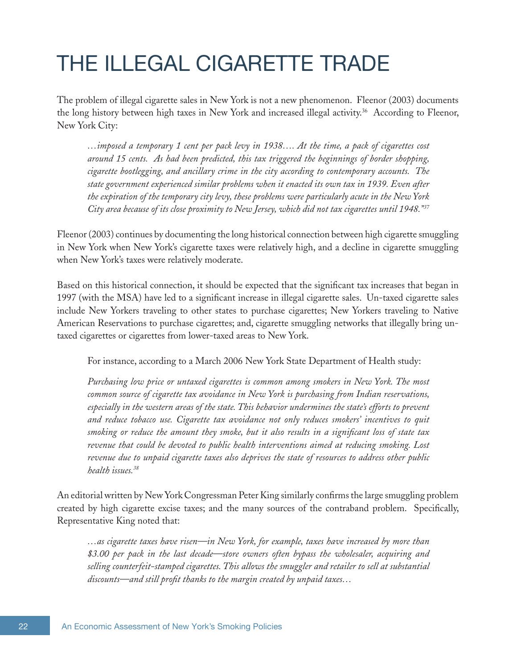## THE ILLEGAL CIGARETTE TRADE

The problem of illegal cigarette sales in New York is not a new phenomenon. Fleenor (2003) documents the long history between high taxes in New York and increased illegal activity.36 According to Fleenor, New York City:

*…imposed a temporary 1 cent per pack levy in 1938…. At the time, a pack of cigarettes cost around 15 cents. As had been predicted, this tax triggered the beginnings of border shopping, cigarette bootlegging, and ancillary crime in the city according to contemporary accounts. The state government experienced similar problems when it enacted its own tax in 1939. Even after the expiration of the temporary city levy, these problems were particularly acute in the New York City area because of its close proximity to New Jersey, which did not tax cigarettes until 1948."37* 

Fleenor (2003) continues by documenting the long historical connection between high cigarette smuggling in New York when New York's cigarette taxes were relatively high, and a decline in cigarette smuggling when New York's taxes were relatively moderate.

Based on this historical connection, it should be expected that the significant tax increases that began in 1997 (with the MSA) have led to a significant increase in illegal cigarette sales. Un-taxed cigarette sales include New Yorkers traveling to other states to purchase cigarettes; New Yorkers traveling to Native American Reservations to purchase cigarettes; and, cigarette smuggling networks that illegally bring untaxed cigarettes or cigarettes from lower-taxed areas to New York.

For instance, according to a March 2006 New York State Department of Health study:

*Purchasing low price or untaxed cigarettes is common among smokers in New York. The most common source of cigarette tax avoidance in New York is purchasing from Indian reservations, especially in the western areas of the state. This behavior undermines the state's efforts to prevent and reduce tobacco use. Cigarette tax avoidance not only reduces smokers' incentives to quit smoking or reduce the amount they smoke, but it also results in a significant loss of state tax revenue that could be devoted to public health interventions aimed at reducing smoking. Lost revenue due to unpaid cigarette taxes also deprives the state of resources to address other public health issues.38*

An editorial written by New York Congressman Peter King similarly confirms the large smuggling problem created by high cigarette excise taxes; and the many sources of the contraband problem. Specifically, Representative King noted that:

*…as cigarette taxes have risen—in New York, for example, taxes have increased by more than \$3.00 per pack in the last decade—store owners often bypass the wholesaler, acquiring and selling counterfeit-stamped cigarettes. This allows the smuggler and retailer to sell at substantial discounts—and still profit thanks to the margin created by unpaid taxes…*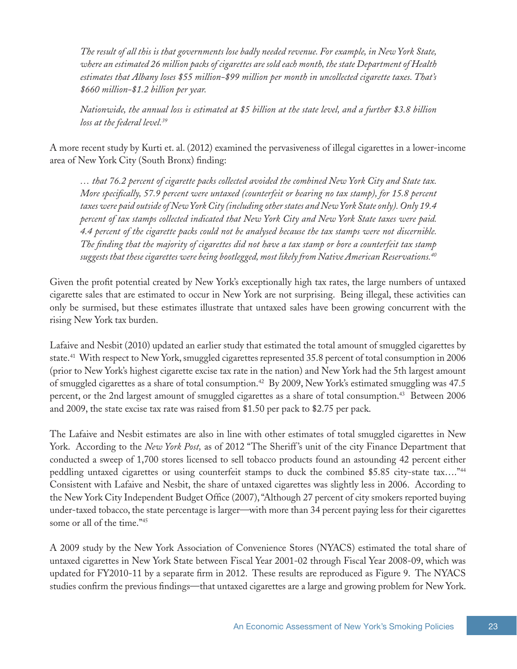*The result of all this is that governments lose badly needed revenue. For example, in New York State, where an estimated 26 million packs of cigarettes are sold each month, the state Department of Health estimates that Albany loses \$55 million-\$99 million per month in uncollected cigarette taxes. That's \$660 million-\$1.2 billion per year.*

*Nationwide, the annual loss is estimated at \$5 billion at the state level, and a further \$3.8 billion loss at the federal level.39*

A more recent study by Kurti et. al. (2012) examined the pervasiveness of illegal cigarettes in a lower-income area of New York City (South Bronx) finding:

*… that 76.2 percent of cigarette packs collected avoided the combined New York City and State tax. More specifically, 57.9 percent were untaxed (counterfeit or bearing no tax stamp), for 15.8 percent taxes were paid outside of New York City (including other states and New York State only). Only 19.4 percent of tax stamps collected indicated that New York City and New York State taxes were paid. 4.4 percent of the cigarette packs could not be analysed because the tax stamps were not discernible. The finding that the majority of cigarettes did not have a tax stamp or bore a counterfeit tax stamp suggests that these cigarettes were being bootlegged, most likely from Native American Reservations.40*

Given the profit potential created by New York's exceptionally high tax rates, the large numbers of untaxed cigarette sales that are estimated to occur in New York are not surprising. Being illegal, these activities can only be surmised, but these estimates illustrate that untaxed sales have been growing concurrent with the rising New York tax burden.

Lafaive and Nesbit (2010) updated an earlier study that estimated the total amount of smuggled cigarettes by state.41 With respect to New York, smuggled cigarettes represented 35.8 percent of total consumption in 2006 (prior to New York's highest cigarette excise tax rate in the nation) and New York had the 5th largest amount of smuggled cigarettes as a share of total consumption.42 By 2009, New York's estimated smuggling was 47.5 percent, or the 2nd largest amount of smuggled cigarettes as a share of total consumption.<sup>43</sup> Between 2006 and 2009, the state excise tax rate was raised from \$1.50 per pack to \$2.75 per pack.

The Lafaive and Nesbit estimates are also in line with other estimates of total smuggled cigarettes in New York. According to the *New York Post*, as of 2012 "The Sheriff's unit of the city Finance Department that conducted a sweep of 1,700 stores licensed to sell tobacco products found an astounding 42 percent either peddling untaxed cigarettes or using counterfeit stamps to duck the combined \$5.85 city-state tax…."44 Consistent with Lafaive and Nesbit, the share of untaxed cigarettes was slightly less in 2006. According to the New York City Independent Budget Office (2007), "Although 27 percent of city smokers reported buying under-taxed tobacco, the state percentage is larger—with more than 34 percent paying less for their cigarettes some or all of the time."<sup>45</sup>

A 2009 study by the New York Association of Convenience Stores (NYACS) estimated the total share of untaxed cigarettes in New York State between Fiscal Year 2001-02 through Fiscal Year 2008-09, which was updated for FY2010-11 by a separate firm in 2012. These results are reproduced as Figure 9. The NYACS studies confirm the previous findings—that untaxed cigarettes are a large and growing problem for New York.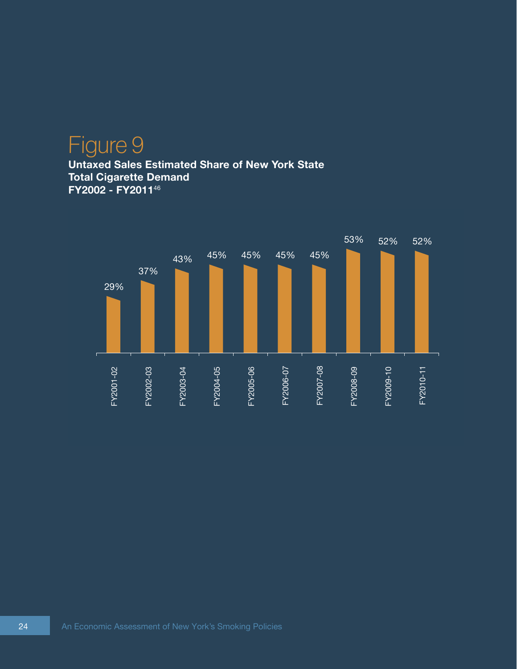### Figure 9 **Untaxed Sales Estimated Share of New York State Total Cigarette Demand FY2002 - FY2011**46

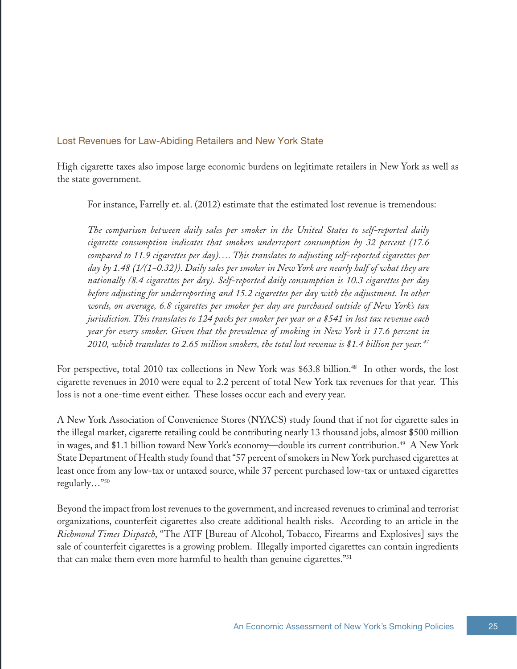#### Lost Revenues for Law-Abiding Retailers and New York State

High cigarette taxes also impose large economic burdens on legitimate retailers in New York as well as the state government.

For instance, Farrelly et. al. (2012) estimate that the estimated lost revenue is tremendous:

*The comparison between daily sales per smoker in the United States to self-reported daily cigarette consumption indicates that smokers underreport consumption by 32 percent (17.6 compared to 11.9 cigarettes per day)…. This translates to adjusting self-reported cigarettes per day by 1.48 (1/(1−0.32)). Daily sales per smoker in New York are nearly half of what they are nationally (8.4 cigarettes per day). Self-reported daily consumption is 10.3 cigarettes per day before adjusting for underreporting and 15.2 cigarettes per day with the adjustment. In other words, on average, 6.8 cigarettes per smoker per day are purchased outside of New York's tax jurisdiction. This translates to 124 packs per smoker per year or a \$541 in lost tax revenue each year for every smoker. Given that the prevalence of smoking in New York is 17.6 percent in 2010, which translates to 2.65 million smokers, the total lost revenue is \$1.4 billion per year. 47*

For perspective, total 2010 tax collections in New York was \$63.8 billion.<sup>48</sup> In other words, the lost cigarette revenues in 2010 were equal to 2.2 percent of total New York tax revenues for that year. This loss is not a one-time event either. These losses occur each and every year.

A New York Association of Convenience Stores (NYACS) study found that if not for cigarette sales in the illegal market, cigarette retailing could be contributing nearly 13 thousand jobs, almost \$500 million in wages, and \$1.1 billion toward New York's economy—double its current contribution.49 A New York State Department of Health study found that "57 percent of smokers in New York purchased cigarettes at least once from any low-tax or untaxed source, while 37 percent purchased low-tax or untaxed cigarettes regularly…"50

Beyond the impact from lost revenues to the government, and increased revenues to criminal and terrorist organizations, counterfeit cigarettes also create additional health risks. According to an article in the *Richmond Times Dispatch*, "The ATF [Bureau of Alcohol, Tobacco, Firearms and Explosives] says the sale of counterfeit cigarettes is a growing problem. Illegally imported cigarettes can contain ingredients that can make them even more harmful to health than genuine cigarettes."<sup>51</sup>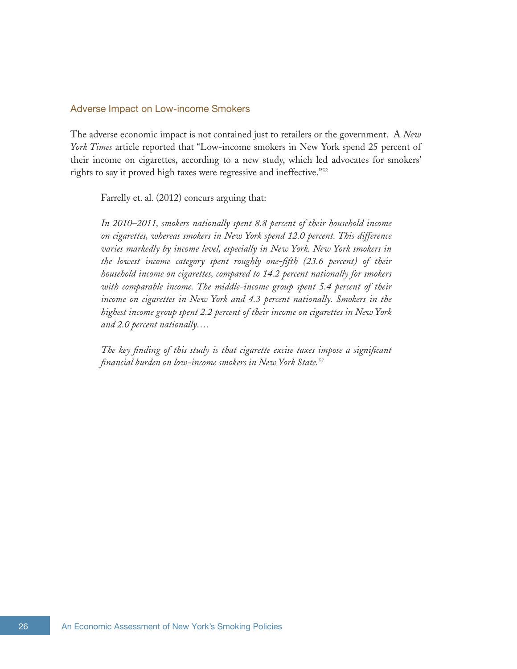#### Adverse Impact on Low-income Smokers

The adverse economic impact is not contained just to retailers or the government. A *New York Times* article reported that "Low-income smokers in New York spend 25 percent of their income on cigarettes, according to a new study, which led advocates for smokers' rights to say it proved high taxes were regressive and ineffective."52

Farrelly et. al. (2012) concurs arguing that:

*In 2010–2011, smokers nationally spent 8.8 percent of their household income on cigarettes, whereas smokers in New York spend 12.0 percent. This difference varies markedly by income level, especially in New York. New York smokers in the lowest income category spent roughly one-fifth (23.6 percent) of their household income on cigarettes, compared to 14.2 percent nationally for smokers with comparable income. The middle-income group spent 5.4 percent of their income on cigarettes in New York and 4.3 percent nationally. Smokers in the highest income group spent 2.2 percent of their income on cigarettes in New York and 2.0 percent nationally….*

*The key finding of this study is that cigarette excise taxes impose a significant financial burden on low-income smokers in New York State.53*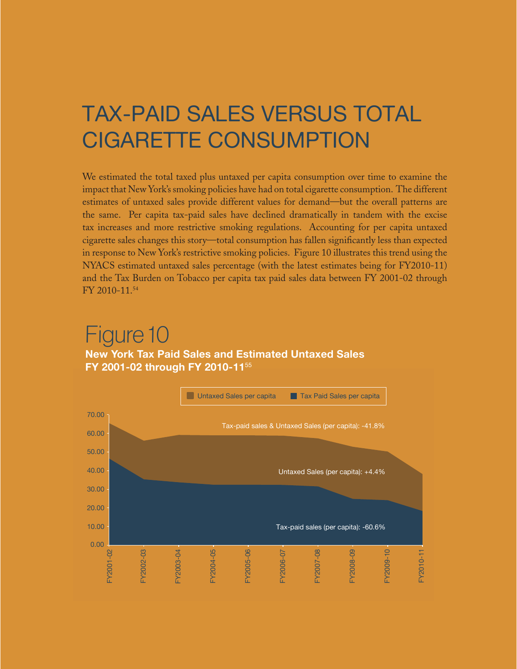## TAX-PAID SALES VERSUS TOTAL CIGARETTE CONSUMPTION

We estimated the total taxed plus untaxed per capita consumption over time to examine the impact that New York's smoking policies have had on total cigarette consumption. The different estimates of untaxed sales provide different values for demand—but the overall patterns are the same. Per capita tax-paid sales have declined dramatically in tandem with the excise tax increases and more restrictive smoking regulations. Accounting for per capita untaxed cigarette sales changes this story—total consumption has fallen significantly less than expected in response to New York's restrictive smoking policies. Figure 10 illustrates this trend using the NYACS estimated untaxed sales percentage (with the latest estimates being for FY2010-11) and the Tax Burden on Tobacco per capita tax paid sales data between FY 2001-02 through FY 2010-11.54

### Figure 10 **New York Tax Paid Sales and Estimated Untaxed Sales FY 2001-02 through FY 2010-11**<sup>55</sup>

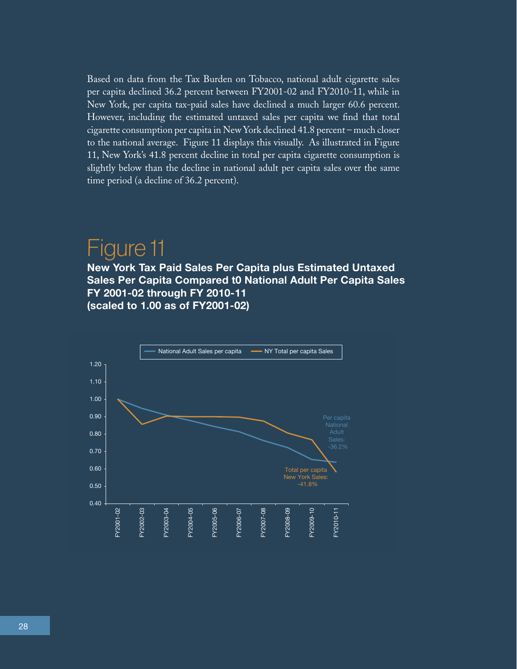Based on data from the Tax Burden on Tobacco, national adult cigarette sales per capita declined 36.2 percent between FY2001-02 and FY2010-11, while in New York, per capita tax-paid sales have declined a much larger 60.6 percent. However, including the estimated untaxed sales per capita we find that total cigarette consumption per capita in New York declined 41.8 percent – much closer to the national average. Figure 11 displays this visually. As illustrated in Figure 11, New York's 41.8 percent decline in total per capita cigarette consumption is slightly below than the decline in national adult per capita sales over the same time period (a decline of 36.2 percent).

### Figure 11

**New York Tax Paid Sales Per Capita plus Estimated Untaxed Sales Per Capita Compared t0 National Adult Per Capita Sales FY 2001-02 through FY 2010-11 (scaled to 1.00 as of FY2001-02)**

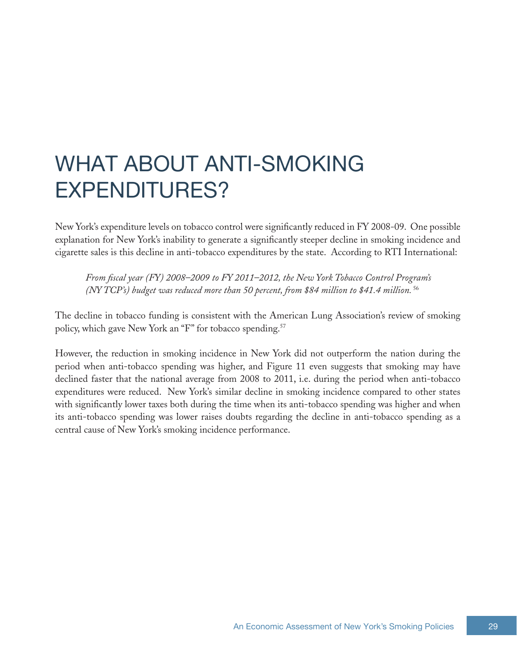## WHAT ABOUT ANTI-SMOKING EXPENDITURES?

New York's expenditure levels on tobacco control were significantly reduced in FY 2008-09. One possible explanation for New York's inability to generate a significantly steeper decline in smoking incidence and cigarette sales is this decline in anti-tobacco expenditures by the state. According to RTI International:

*From fiscal year (FY) 2008–2009 to FY 2011–2012, the New York Tobacco Control Program's (NY TCP's) budget was reduced more than 50 percent, from \$84 million to \$41.4 million.*<sup>56</sup>

The decline in tobacco funding is consistent with the American Lung Association's review of smoking policy, which gave New York an "F" for tobacco spending.<sup>57</sup>

However, the reduction in smoking incidence in New York did not outperform the nation during the period when anti-tobacco spending was higher, and Figure 11 even suggests that smoking may have declined faster that the national average from 2008 to 2011, i.e. during the period when anti-tobacco expenditures were reduced. New York's similar decline in smoking incidence compared to other states with significantly lower taxes both during the time when its anti-tobacco spending was higher and when its anti-tobacco spending was lower raises doubts regarding the decline in anti-tobacco spending as a central cause of New York's smoking incidence performance.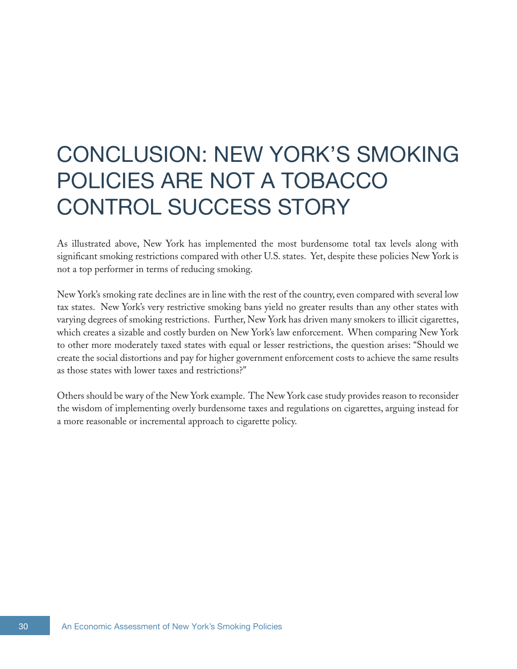## CONCLUSION: NEW YORK'S SMOKING POLICIES ARE NOT A TOBACCO CONTROL SUCCESS STORY

As illustrated above, New York has implemented the most burdensome total tax levels along with significant smoking restrictions compared with other U.S. states. Yet, despite these policies New York is not a top performer in terms of reducing smoking.

New York's smoking rate declines are in line with the rest of the country, even compared with several low tax states. New York's very restrictive smoking bans yield no greater results than any other states with varying degrees of smoking restrictions. Further, New York has driven many smokers to illicit cigarettes, which creates a sizable and costly burden on New York's law enforcement. When comparing New York to other more moderately taxed states with equal or lesser restrictions, the question arises: "Should we create the social distortions and pay for higher government enforcement costs to achieve the same results as those states with lower taxes and restrictions?"

Others should be wary of the New York example. The New York case study provides reason to reconsider the wisdom of implementing overly burdensome taxes and regulations on cigarettes, arguing instead for a more reasonable or incremental approach to cigarette policy.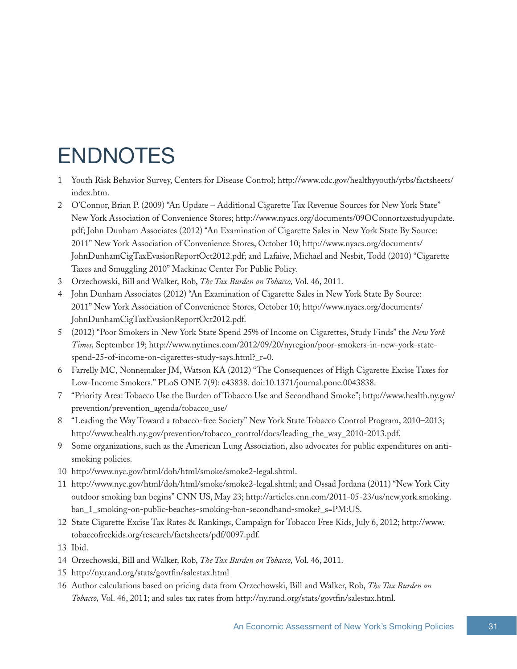## ENDNOTES

- 1 Youth Risk Behavior Survey, Centers for Disease Control; [http://www.cdc.gov/healthyyouth/yrbs/factsheets/](http://www.cdc.gov/healthyyouth/yrbs/factsheets/index.htm) [index.htm](http://www.cdc.gov/healthyyouth/yrbs/factsheets/index.htm).
- 2 O'Connor, Brian P. (2009) "An Update Additional Cigarette Tax Revenue Sources for New York State" New York Association of Convenience Stores; [http://www.nyacs.org/documents/09OConnortaxstudyupdate.](http://www.nyacs.org/documents/09OConnortaxstudyupdate.pdf) [pdf](http://www.nyacs.org/documents/09OConnortaxstudyupdate.pdf); John Dunham Associates (2012) "An Examination of Cigarette Sales in New York State By Source: 2011" New York Association of Convenience Stores, October 10; [http://www.nyacs.org/documents/](http://www.nyacs.org/documents/JohnDunhamCigTaxEvasionReportOct2012.pdf) [JohnDunhamCigTaxEvasionReportOct2012.pdf](http://www.nyacs.org/documents/JohnDunhamCigTaxEvasionReportOct2012.pdf); and Lafaive, Michael and Nesbit, Todd (2010) "Cigarette Taxes and Smuggling 2010" Mackinac Center For Public Policy.
- 3 Orzechowski, Bill and Walker, Rob, *The Tax Burden on Tobacco,* Vol. 46, 2011.
- 4 John Dunham Associates (2012) "An Examination of Cigarette Sales in New York State By Source: 2011" New York Association of Convenience Stores, October 10; [http://www.nyacs.org/documents/](http://www.nyacs.org/documents/JohnDunhamCigTaxEvasionReportOct2012.pdf) [JohnDunhamCigTaxEvasionReportOct2012.pdf](http://www.nyacs.org/documents/JohnDunhamCigTaxEvasionReportOct2012.pdf).
- 5 (2012) "Poor Smokers in New York State Spend 25% of Income on Cigarettes, Study Finds" the *New York Times,* September 19; [http://www.nytimes.com/2012/09/20/nyregion/poor-smokers-in-new-york-state](http://www.nytimes.com/2012/09/20/nyregion/poor-smokers-in-new-york-state-spend-25-of-income-on-cigarettes-study-says.html?_r=0)[spend-25-of-income-on-cigarettes-study-says.html?\\_r=0.](http://www.nytimes.com/2012/09/20/nyregion/poor-smokers-in-new-york-state-spend-25-of-income-on-cigarettes-study-says.html?_r=0)
- 6 Farrelly MC, Nonnemaker JM, Watson KA (2012) "The Consequences of High Cigarette Excise Taxes for Low-Income Smokers." PLoS ONE 7(9): e43838. doi:10.1371/journal.pone.0043838.
- 7 "Priority Area: Tobacco Use the Burden of Tobacco Use and Secondhand Smoke"; http://www.health.ny.gov/ prevention/prevention\_agenda/tobacco\_use/
- 8 "Leading the Way Toward a tobacco-free Society" New York State Tobacco Control Program, 2010–2013; [http://www.health.ny.gov/prevention/tobacco\\_control/docs/leading\\_the\\_way\\_2010-2013.pdf](http://www.health.ny.gov/prevention/tobacco_control/docs/leading_the_way_2010-2013.pdf).
- 9 Some organizations, such as the American Lung Association, also advocates for public expenditures on antismoking policies.
- 10 <http://www.nyc.gov/html/doh/html/smoke/smoke2-legal.shtml>.
- 11 <http://www.nyc.gov/html/doh/html/smoke/smoke2-legal.shtml>; and Ossad Jordana (2011) "New York City outdoor smoking ban begins" CNN US, May 23; [http://articles.cnn.com/2011-05-23/us/new.york.smoking.](http://articles.cnn.com/2011-05-23/us/new.york.smoking.ban_1_smoking-on-public-beaches-smoking-ban-secondhand-smoke?_s=PM:US) [ban\\_1\\_smoking-on-public-beaches-smoking-ban-secondhand-smoke?\\_s=PM:US](http://articles.cnn.com/2011-05-23/us/new.york.smoking.ban_1_smoking-on-public-beaches-smoking-ban-secondhand-smoke?_s=PM:US).
- 12 State Cigarette Excise Tax Rates & Rankings, Campaign for Tobacco Free Kids, July 6, 2012; [http://www.](http://www.tobaccofreekids.org/research/factsheets/pdf/0097.pdf) [tobaccofreekids.org/research/factsheets/pdf/0097.pdf](http://www.tobaccofreekids.org/research/factsheets/pdf/0097.pdf).
- 13 Ibid.
- 14 Orzechowski, Bill and Walker, Rob, *The Tax Burden on Tobacco,* Vol. 46, 2011.
- 15 <http://ny.rand.org/stats/govtfin/salestax.html>
- 16 Author calculations based on pricing data from Orzechowski, Bill and Walker, Rob, *The Tax Burden on Tobacco,* Vol. 46, 2011; and sales tax rates from<http://ny.rand.org/stats/govtfin/salestax.html>.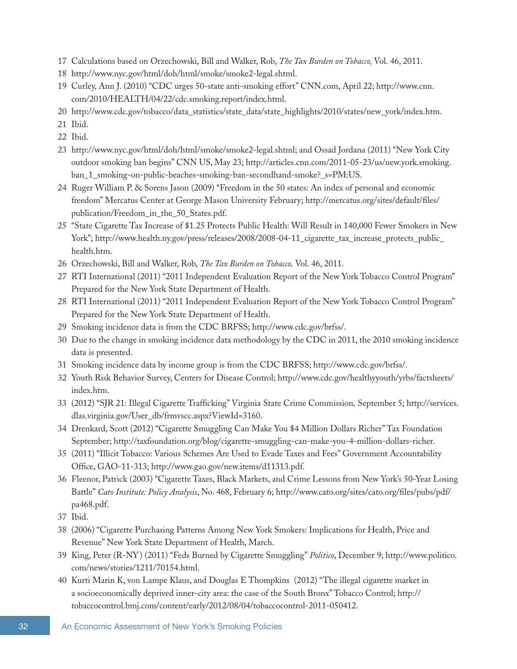- 17 Calculations based on Orzechowski, Bill and Walker, Rob, *The Tax Burden on Tobacco,* Vol. 46, 2011.
- 18 <http://www.nyc.gov/html/doh/html/smoke/smoke2-legal.shtml>.
- 19 Curley, Ann J. (2010) "CDC urges 50-state anti-smoking effort" CNN.com, April 22; [http://www.cnn.](http://www.cnn.com/2010/HEALTH/04/22/cdc.smoking.report/index.html) [com/2010/HEALTH/04/22/cdc.smoking.report/index.html.](http://www.cnn.com/2010/HEALTH/04/22/cdc.smoking.report/index.html)
- 20 [http://www.cdc.gov/tobacco/data\\_statistics/state\\_data/state\\_highlights/2010/states/new\\_york/index.htm](http://www.cdc.gov/tobacco/data_statistics/state_data/state_highlights/2010/states/new_york/index.htm).
- 21 Ibid.
- 22 Ibid.
- 23 <http://www.nyc.gov/html/doh/html/smoke/smoke2-legal.shtml>; and Ossad Jordana (2011) "New York City outdoor smoking ban begins" CNN US, May 23; [http://articles.cnn.com/2011-05-23/us/new.york.smoking.](http://articles.cnn.com/2011-05-23/us/new.york.smoking.ban_1_smoking-on-public-beaches-smoking-ban-secondhand-smoke?_s=PM:US) [ban\\_1\\_smoking-on-public-beaches-smoking-ban-secondhand-smoke?\\_s=PM:US](http://articles.cnn.com/2011-05-23/us/new.york.smoking.ban_1_smoking-on-public-beaches-smoking-ban-secondhand-smoke?_s=PM:US).
- 24 Ruger William P. & Sorens Jason (2009) "Freedom in the 50 states: An index of personal and economic freedom" Mercatus Center at George Mason University February; [http://mercatus.org/sites/default/files/](http://mercatus.org/sites/default/files/publication/Freedom_in_the_50_States.pdf) [publication/Freedom\\_in\\_the\\_50\\_States.pdf](http://mercatus.org/sites/default/files/publication/Freedom_in_the_50_States.pdf).
- 25 "State Cigarette Tax Increase of \$1.25 Protects Public Health: Will Result in 140,000 Fewer Smokers in New York"; [http://www.health.ny.gov/press/releases/2008/2008-04-11\\_cigarette\\_tax\\_increase\\_protects\\_public\\_](http://www.health.ny.gov/press/releases/2008/2008-04-11_cigarette_tax_increase_protects_public_health.htm) [health.htm](http://www.health.ny.gov/press/releases/2008/2008-04-11_cigarette_tax_increase_protects_public_health.htm).
- 26 Orzechowski, Bill and Walker, Rob, *The Tax Burden on Tobacco,* Vol. 46, 2011.
- 27 RTI International (2011) "2011 Independent Evaluation Report of the New York Tobacco Control Program" Prepared for the New York State Department of Health.
- 28 RTI International (2011) "2011 Independent Evaluation Report of the New York Tobacco Control Program" Prepared for the New York State Department of Health.
- 29 Smoking incidence data is from the CDC BRFSS; [http://www.cdc.gov/brfss/.](http://www.cdc.gov/brfss/)
- 30 Due to the change in smoking incidence data methodology by the CDC in 2011, the 2010 smoking incidence data is presented.
- 31 Smoking incidence data by income group is from the CDC BRFSS;<http://www.cdc.gov/brfss/>.
- 32 Youth Risk Behavior Survey, Centers for Disease Control; [http://www.cdc.gov/healthyyouth/yrbs/factsheets/](http://www.cdc.gov/healthyyouth/yrbs/factsheets/index.htm) [index.htm](http://www.cdc.gov/healthyyouth/yrbs/factsheets/index.htm).
- 33 (2012) "SJR 21: Illegal Cigarette Trafficking" Virginia State Crime Commission*,* September 5; [http://services.](http://services.dlas.virginia.gov/User_db/frmvscc.aspx?ViewId=3160) [dlas.virginia.gov/User\\_db/frmvscc.aspx?ViewId=3160](http://services.dlas.virginia.gov/User_db/frmvscc.aspx?ViewId=3160).
- 34 Drenkard, Scott (2012) "Cigarette Smuggling Can Make You \$4 Million Dollars Richer" Tax Foundation September; [http://taxfoundation.org/blog/cigarette-smuggling-can-make-you-4-million-dollars-richer.](http://taxfoundation.org/blog/cigarette-smuggling-can-make-you-4-million-dollars-richer)
- 35 (2011) "Illicit Tobacco: Various Schemes Are Used to Evade Taxes and Fees" Government Accountability Office, GAO-11-313;<http://www.gao.gov/new.items/d11313.pdf>.
- 36 Fleenor, Patrick (2003) "Cigarette Taxes, Black Markets, and Crime Lessons from New York's 50-Year Losing Battle" *Cato Institute: Policy Analysis*, No. 468, February 6; [http://www.cato.org/sites/cato.org/files/pubs/pdf/](http://www.cato.org/sites/cato.org/files/pubs/pdf/pa468.pdf) [pa468.pdf](http://www.cato.org/sites/cato.org/files/pubs/pdf/pa468.pdf).
- 37 Ibid.
- 38 (2006) "Cigarette Purchasing Patterns Among New York Smokers: Implications for Health, Price and Revenue" New York State Department of Health, March.
- 39 King, Peter (R-NY) (2011) "Feds Burned by Cigarette Smuggling" *Politico*, December 9; [http://www.politico.](http://www.politico.com/news/stories/1211/70154.html) [com/news/stories/1211/70154.html.](http://www.politico.com/news/stories/1211/70154.html)
- 40 Kurti Marin K, von Lampe Klaus, and Douglas E Thompkins (2012) "The illegal cigarette market in a socioeconomically deprived inner-city area: the case of the South Bronx" Tobacco Control; [http://](http://tobaccocontrol.bmj.com/content/early/2012/08/04/tobaccocontrol-2011-050412) [tobaccocontrol.bmj.com/content/early/2012/08/04/tobaccocontrol-2011-050412.](http://tobaccocontrol.bmj.com/content/early/2012/08/04/tobaccocontrol-2011-050412)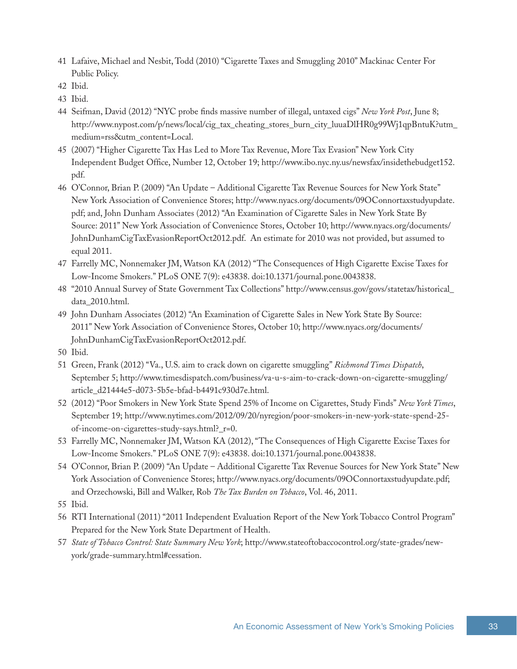- 41 Lafaive, Michael and Nesbit, Todd (2010) "Cigarette Taxes and Smuggling 2010" Mackinac Center For Public Policy.
- 42 Ibid.
- 43 Ibid.
- 44 Seifman, David (2012) "NYC probe finds massive number of illegal, untaxed cigs" *New York Post*, June 8; [http://www.nypost.com/p/news/local/cig\\_tax\\_cheating\\_stores\\_burn\\_city\\_luuaDlHR0g99Wj1qpBntuK?utm\\_](http://www.nypost.com/p/news/local/cig_tax_cheating_stores_burn_city_luuaDlHR0g99Wj1qpBntuK?utm_medium=rss&utm_content=Local) [medium=rss&utm\\_content=Local.](http://www.nypost.com/p/news/local/cig_tax_cheating_stores_burn_city_luuaDlHR0g99Wj1qpBntuK?utm_medium=rss&utm_content=Local)
- 45 (2007) "Higher Cigarette Tax Has Led to More Tax Revenue, More Tax Evasion" New York City Independent Budget Office, Number 12, October 19; [http://www.ibo.nyc.ny.us/newsfax/insidethebudget152.](http://www.ibo.nyc.ny.us/newsfax/insidethebudget152.pdf) [pdf](http://www.ibo.nyc.ny.us/newsfax/insidethebudget152.pdf).
- 46 O'Connor, Brian P. (2009) "An Update Additional Cigarette Tax Revenue Sources for New York State" New York Association of Convenience Stores; [http://www.nyacs.org/documents/09OConnortaxstudyupdate.](http://www.nyacs.org/documents/09OConnortaxstudyupdate.pdf) [pdf](http://www.nyacs.org/documents/09OConnortaxstudyupdate.pdf); and, John Dunham Associates (2012) "An Examination of Cigarette Sales in New York State By Source: 2011" New York Association of Convenience Stores, October 10; [http://www.nyacs.org/documents/](http://www.nyacs.org/documents/JohnDunhamCigTaxEvasionReportOct2012.pdf) [JohnDunhamCigTaxEvasionReportOct2012.pdf](http://www.nyacs.org/documents/JohnDunhamCigTaxEvasionReportOct2012.pdf). An estimate for 2010 was not provided, but assumed to equal 2011.
- 47 Farrelly MC, Nonnemaker JM, Watson KA (2012) "The Consequences of High Cigarette Excise Taxes for Low-Income Smokers." PLoS ONE 7(9): e43838. doi:10.1371/journal.pone.0043838.
- 48 "2010 Annual Survey of State Government Tax Collections" [http://www.census.gov/govs/statetax/historical\\_](http://www.census.gov/govs/statetax/historical_data_2010.html) [data\\_2010.html.](http://www.census.gov/govs/statetax/historical_data_2010.html)
- 49 John Dunham Associates (2012) "An Examination of Cigarette Sales in New York State By Source: 2011" New York Association of Convenience Stores, October 10; [http://www.nyacs.org/documents/](http://www.nyacs.org/documents/JohnDunhamCigTaxEvasionReportOct2012.pdf) [JohnDunhamCigTaxEvasionReportOct2012.pdf](http://www.nyacs.org/documents/JohnDunhamCigTaxEvasionReportOct2012.pdf).
- 50 Ibid.
- 51 Green, Frank (2012) "Va., U.S. aim to crack down on cigarette smuggling" *Richmond Times Dispatch*, September 5; [http://www.timesdispatch.com/business/va-u-s-aim-to-crack-down-on-cigarette-smuggling/](http://www.timesdispatch.com/business/va-u-s-aim-to-crack-down-on-cigarette-smuggling/article_d21444e5-d073-5b5e-bfad-b4491c930d7e.html) [article\\_d21444e5-d073-5b5e-bfad-b4491c930d7e.html](http://www.timesdispatch.com/business/va-u-s-aim-to-crack-down-on-cigarette-smuggling/article_d21444e5-d073-5b5e-bfad-b4491c930d7e.html).
- 52 (2012) "Poor Smokers in New York State Spend 25% of Income on Cigarettes, Study Finds" *New York Times*, September 19; [http://www.nytimes.com/2012/09/20/nyregion/poor-smokers-in-new-york-state-spend-25](http://www.nytimes.com/2012/09/20/nyregion/poor-smokers-in-new-york-state-spend-25-of-income-on-cigarettes-study-says.html?_r=0) [of-income-on-cigarettes-study-says.html?\\_r=0](http://www.nytimes.com/2012/09/20/nyregion/poor-smokers-in-new-york-state-spend-25-of-income-on-cigarettes-study-says.html?_r=0).
- 53 Farrelly MC, Nonnemaker JM, Watson KA (2012), "The Consequences of High Cigarette Excise Taxes for Low-Income Smokers." PLoS ONE 7(9): e43838. doi:10.1371/journal.pone.0043838.
- 54 O'Connor, Brian P. (2009) "An Update Additional Cigarette Tax Revenue Sources for New York State" New York Association of Convenience Stores; <http://www.nyacs.org/documents/09OConnortaxstudyupdate.pdf>; and Orzechowski, Bill and Walker, Rob *The Tax Burden on Tobacco*, Vol. 46, 2011.
- 55 Ibid.
- 56 RTI International (2011) "2011 Independent Evaluation Report of the New York Tobacco Control Program" Prepared for the New York State Department of Health.
- 57 *State of Tobacco Control: State Summary New York*; http://www.stateoftobaccocontrol.org/state-grades/newyork/grade-summary.html#cessation.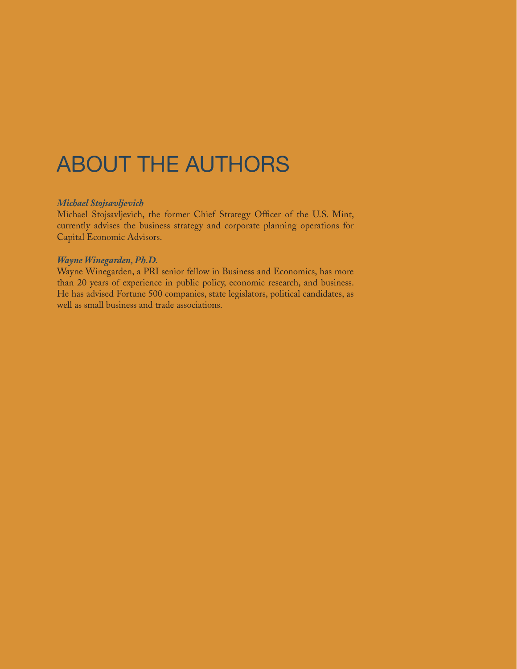## ABOUT THE AUTHORS

#### *Michael Stojsavljevich*

Michael Stojsavljevich, the former Chief Strategy Officer of the U.S. Mint, currently advises the business strategy and corporate planning operations for Capital Economic Advisors.

#### *Wayne Winegarden, Ph.D.*

Wayne Winegarden, a PRI senior fellow in Business and Economics, has more than 20 years of experience in public policy, economic research, and business. He has advised Fortune 500 companies, state legislators, political candidates, as well as small business and trade associations.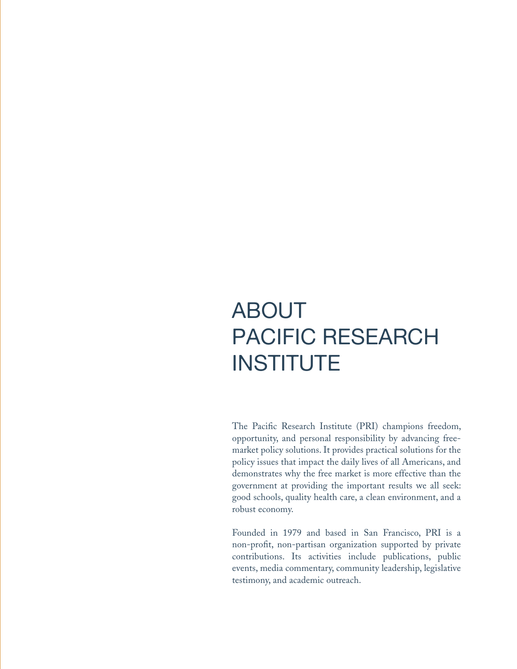## ABOUT PACIFIC RESEARCH **INSTITUTE**

The Pacific Research Institute (PRI) champions freedom, opportunity, and personal responsibility by advancing freemarket policy solutions. It provides practical solutions for the policy issues that impact the daily lives of all Americans, and demonstrates why the free market is more effective than the government at providing the important results we all seek: good schools, quality health care, a clean environment, and a robust economy.

Founded in 1979 and based in San Francisco, PRI is a non-profit, non-partisan organization supported by private contributions. Its activities include publications, public events, media commentary, community leadership, legislative testimony, and academic outreach.